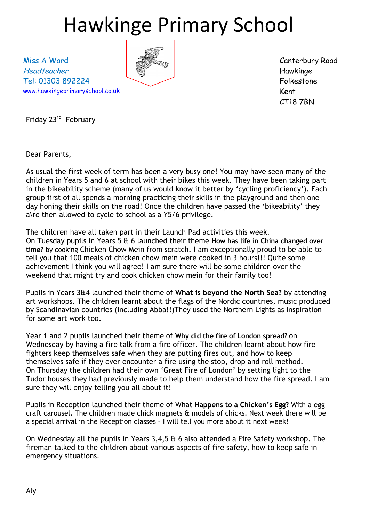# Hawkinge Primary School

Miss A Ward Headteacher Tel: 01303 892224 [www.hawkingeprimaryschool.co.uk](http://www.hawkingeprimaryschool.co.uk/)



Canterbury Road Hawkinge Folkestone Kent CT18 7BN

Friday 23<sup>rd</sup> February

Dear Parents,

As usual the first week of term has been a very busy one! You may have seen many of the children in Years 5 and 6 at school with their bikes this week. They have been taking part in the bikeability scheme (many of us would know it better by 'cycling proficiency'). Each group first of all spends a morning practicing their skills in the playground and then one day honing their skills on the road! Once the children have passed the 'bikeability' they a\re then allowed to cycle to school as a Y5/6 privilege.

The children have all taken part in their Launch Pad activities this week. On Tuesday pupils in Years 5 & 6 launched their theme **How has life in China changed over time?** by cooking Chicken Chow Mein from scratch. I am exceptionally proud to be able to tell you that 100 meals of chicken chow mein were cooked in 3 hours!!! Quite some achievement I think you will agree! I am sure there will be some children over the weekend that might try and cook chicken chow mein for their family too!

Pupils in Years 3&4 launched their theme of **What is beyond the North Sea?** by attending art workshops. The children learnt about the flags of the Nordic countries, music produced by Scandinavian countries (including Abba!!)They used the Northern Lights as inspiration for some art work too.

Year 1 and 2 pupils launched their theme of **Why did the fire of London spread?** on Wednesday by having a fire talk from a fire officer. The children learnt about how fire fighters keep themselves safe when they are putting fires out, and how to keep themselves safe if they ever encounter a fire using the stop, drop and roll method. On Thursday the children had their own 'Great Fire of London' by setting light to the Tudor houses they had previously made to help them understand how the fire spread. I am sure they will enjoy telling you all about it!

Pupils in Reception launched their theme of What **Happens to a Chicken's Egg?** With a eggcraft carousel. The children made chick magnets & models of chicks. Next week there will be a special arrival in the Reception classes – I will tell you more about it next week!

On Wednesday all the pupils in Years 3,4,5 & 6 also attended a Fire Safety workshop. The fireman talked to the children about various aspects of fire safety, how to keep safe in emergency situations.